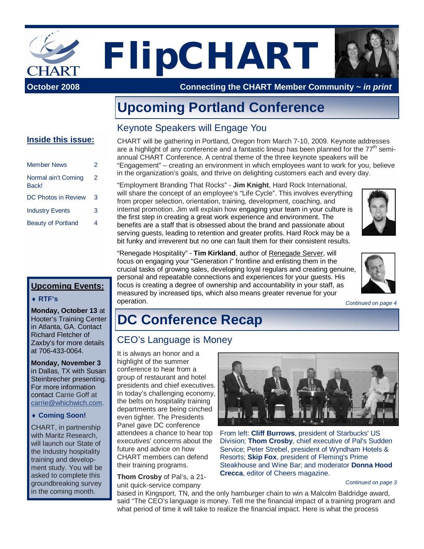

**Upcoming Portland Conference**

### Keynote Speakers will Engage You

#### **Inside this issue:**

| <b>Member News</b>           | 2 |
|------------------------------|---|
| Normal ain't Coming<br>Back! | 2 |
| <b>DC Photos in Review</b>   | 3 |
| <b>Industry Events</b>       | 3 |
| <b>Beauty of Portland</b>    |   |

#### **Upcoming Events:**

#### i**RTF's**

**Monday, October 13** at Hooter's Training Center in Atlanta, GA. Contact Richard Fletcher of Zaxby's for more details at 706-433-0064.

**Monday, November 3** in Dallas, TX with Susan Steinbrecher presenting. For more information contact Carrie Goff at [carrie@whichwich.com.](mailto:carrie@whichwich.com)

#### ◆ Coming Soon!

CHART, in partnership with Maritz Research, will launch our State of the Industry hospitality training and development study. You will be asked to complete this groundbreaking survey in the coming month.

CHART will be gathering in Portland, Oregon from March 7-10, 2009. Keynote addresses are a highlight of any conference and a fantastic lineup has been planned for the  $77<sup>th</sup>$  semiannual CHART Conference. A central theme of the three keynote speakers will be "Engagement" – creating an environment in which employees want to work for you, believe in the organization's goals, and thrive on delighting customers each and every day.

"Employment Branding That Rocks" - **Jim Knight**, Hard Rock International, will share the concept of an employee's "Life Cycle". This involves everything from proper selection, orientation, training, development, coaching, and internal promotion. Jim will explain how engaging your team in your culture is the first step in creating a great work experience and environment. The benefits are a staff that is obsessed about the brand and passionate about serving guests, leading to retention and greater profits. Hard Rock may be a bit funky and irreverent but no one can fault them for their consistent results.



"Renegade Hospitality" - **Tim Kirkland**, author of Renegade Server, will focus on engaging your "Generation i" frontline and enlisting them in the crucial tasks of growing sales, developing loyal regulars and creating genuine, personal and repeatable connections and experiences for your guests. His focus is creating a degree of ownership and accountability in your staff, as measured by increased tips, which also means greater revenue for your operation.



*Continued on page 4*

# **DC Conference Recap**

### CEO's Language is Money

It is always an honor and a highlight of the summer conference to hear from a group of restaurant and hotel presidents and chief executives. In today's challenging economy, the belts on hospitality training departments are being cinched even tighter. The Presidents Panel gave DC conference attendees a chance to hear top executives' concerns about the future and advice on how CHART members can defend their training programs.

**Thom Crosby** of Pal's, a 21 unit quick-service company



From left: **Cliff Burrows**, president of Starbucks' US Division; **Thom Crosby**, chief executive of Pal's Sudden Service; Peter Strebel, president of Wyndham Hotels & Resorts; **Skip Fox**, president of Fleming's Prime Steakhouse and Wine Bar; and moderator **Donna Hood Crecca**, editor of Cheers magazine.

#### *Continued on page 3*

based in Kingsport, TN, and the only hamburger chain to win a Malcolm Baldridge award, said "The CEO's language is money. Tell me the financial impact of a training program and what period of time it will take to realize the financial impact. Here is what the process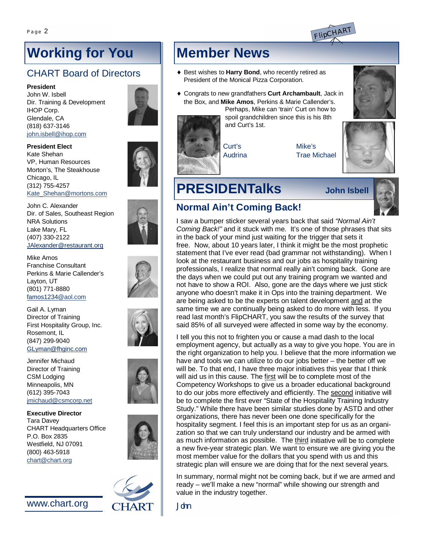

# **Working for You**

## CHART Board of Directors

**President**

John W. Isbell Dir. Training & Development IHOP Corp. Glendale, CA (818) 637-3146 [john.isbell@ihop.com](mailto:john.isbell@ihop.com)

#### **President Elect**

Kate Shehan VP, Human Resources Morton's, The Steakhouse Chicago, IL (312) 755-4257 [Kate\\_Shehan@mortons.com](mailto:Kate_Shehan@mortons.com)

John C. Alexander Dir. of Sales, Southeast Region NRA Solutions Lake Mary, FL (407) 330-2122 [JAlexander@restaurant.org](mailto:JAlexander@restaurant.org)

Mike Amos Franchise Consultant Perkins & Marie Callender's Layton, UT (801) 771-8880 [famos1234@aol.com](mailto:famos1234@aol.com)

Gail A. Lyman Director of Training First Hospitality Group, Inc. Rosemont, IL (847) 299-9040 [GLyman@fhginc.com](mailto:GLyman@fhginc.com)

Jennifer Michaud Director of Training CSM Lodging Minneapolis, MN (612) 395-7043 [jmichaud@csmcorp.net](mailto:jmichaud@csmcorp.net)

**Executive Director** Tara Davey CHART Headquarters Office P.O. Box 2835 Westfield, NJ 07091 (800) 463-5918 [chart@chart.org](mailto:chart@chart.org)

[www.chart.org](http://www.chart.org)



# **Member News**

- ♦ Best wishes to Harry Bond, who recently retired as President of the Monical Pizza Corporation.
- $\bullet$  Congrats to new grandfathers **Curt Archambault**, Jack in the Box, and **Mike Amos**, Perkins & Marie Callender's. Perhaps, Mike can 'train' Curt on how to

spoil grandchildren since this is his 8th and Curt's 1st.

Audrina

Mike's Trae Michael



# **PRESIDENTalks John Isbell**

Curt's



# **Normal Ain't Coming Back!**

I saw a bumper sticker several years back that said *"Normal Ain't Coming Back!"* and it stuck with me. It's one of those phrases that sits in the back of your mind just waiting for the trigger that sets it free. Now, about 10 years later, I think it might be the most prophetic statement that I've ever read (bad grammar not withstanding). When I look at the restaurant business and our jobs as hospitality training professionals, I realize that normal really ain't coming back. Gone are the days when we could put out any training program we wanted and not have to show a ROI. Also, gone are the days where we just stick anyone who doesn't make it in Ops into the training department. We are being asked to be the experts on talent development and at the same time we are continually being asked to do more with less. If you read last month's FlipCHART, you saw the results of the survey that said 85% of all surveyed were affected in some way by the economy.

I tell you this not to frighten you or cause a mad dash to the local employment agency, but actually as a way to give you hope. You are in the right organization to help you. I believe that the more information we have and tools we can utilize to do our jobs better – the better off we will be. To that end, I have three major initiatives this year that I think will aid us in this cause. The first will be to complete most of the Competency Workshops to give us a broader educational background to do our jobs more effectively and efficiently. The second initiative will be to complete the first ever "State of the Hospitality Training Industry Study." While there have been similar studies done by ASTD and other organizations, there has never been one done specifically for the hospitality segment. I feel this is an important step for us as an organization so that we can truly understand our industry and be armed with as much information as possible. The third initiative will be to complete a new five-year strategic plan. We want to ensure we are giving you the most member value for the dollars that you spend with us and this strategic plan will ensure we are doing that for the next several years.

In summary, normal might not be coming back, but if we are armed and ready – we'll make a new "normal" while showing our strength and value in the industry together.

John

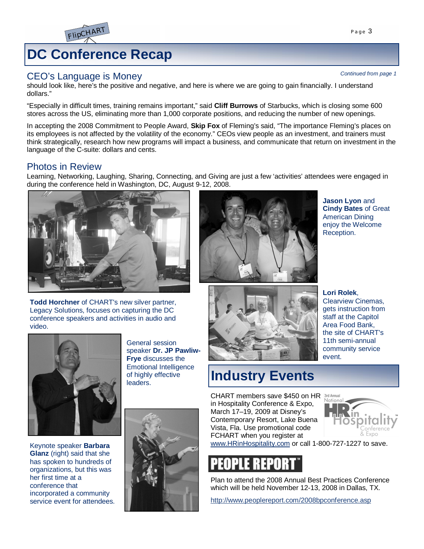

# **DC Conference Recap**

#### CEO's Language is Money

should look like, here's the positive and negative, and here is where we are going to gain financially. I understand dollars."

"Especially in difficult times, training remains important," said **Cliff Burrows** of Starbucks, which is closing some 600 stores across the US, eliminating more than 1,000 corporate positions, and reducing the number of new openings.

In accepting the 2008 Commitment to People Award, **Skip Fox** of Fleming's said, "The importance Fleming's places on its employees is not affected by the volatility of the economy." CEOs view people as an investment, and trainers must think strategically, research how new programs will impact a business, and communicate that return on investment in the language of the C-suite: dollars and cents.

### Photos in Review

Learning, Networking, Laughing, Sharing, Connecting, and Giving are just a few 'activities' attendees were engaged in during the conference held in Washington, DC, August 9-12, 2008.



**Todd Horchner** of CHART's new silver partner, Legacy Solutions, focuses on capturing the DC conference speakers and activities in audio and video.



Keynote speaker **Barbara Glanz** (right) said that she has spoken to hundreds of organizations, but this was her first time at a conference that incorporated a community service event for attendees.







**Jason Lyon** and **Cindy Bates** of Great American Dining enjoy the Welcome Reception.



**Lori Rolek**, Clearview Cinemas, gets instruction from staff at the Capitol Area Food Bank, the site of CHART's 11th semi-annual community service event.

## **Industry Events** CHART members save \$450 on HR

in Hospitality Conference & Expo, March 17–19, 2009 at Disney's Contemporary Resort, Lake Buena Vista, Fla. Use promotional code FCHART when you register at



[www.HRinHospitality.com](http://www.HRinHospitality.com) or call 1-800-727-1227 to save.

Plan to attend the 2008 Annual Best Practices Conference which will be held November 12-13, 2008 in Dallas, TX.

<http://www.peoplereport.com/2008bpconference.asp>

*Continued from page 1*